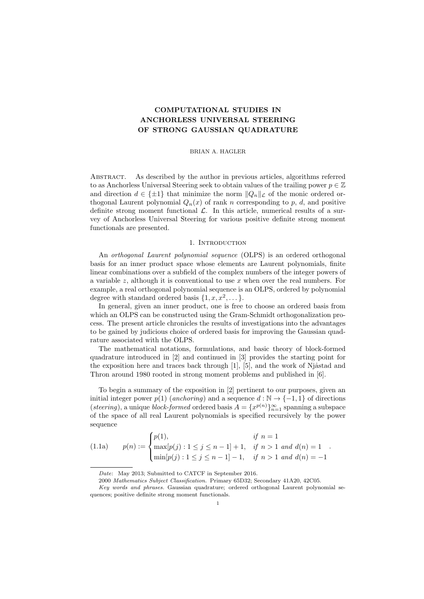# **COMPUTATIONAL STUDIES IN ANCHORLESS UNIVERSAL STEERING OF STRONG GAUSSIAN QUADRATURE**

### BRIAN A. HAGLER

Abstract. As described by the author in previous articles, algorithms referred to as Anchorless Universal Steering seek to obtain values of the trailing power  $p \in \mathbb{Z}$ and direction  $d \in {\pm 1}$  that minimize the norm  $||Q_n||_{\mathcal{L}}$  of the monic ordered orthogonal Laurent polynomial  $Q_n(x)$  of rank *n* corresponding to *p*, *d*, and positive definite strong moment functional *L*. In this article, numerical results of a survey of Anchorless Universal Steering for various positive definite strong moment functionals are presented.

#### 1. INTRODUCTION

An *orthogonal Laurent polynomial sequence* (OLPS) is an ordered orthogonal basis for an inner product space whose elements are Laurent polynomials, finite linear combinations over a subfield of the complex numbers of the integer powers of a variable *z*, although it is conventional to use *x* when over the real numbers. For example, a real orthogonal polynomial sequence is an OLPS, ordered by polynomial degree with standard ordered basis  $\{1, x, x^2, \dots\}$ .

In general, given an inner product, one is free to choose an ordered basis from which an OLPS can be constructed using the Gram-Schmidt orthogonalization process. The present article chronicles the results of investigations into the advantages to be gained by judicious choice of ordered basis for improving the Gaussian quadrature associated with the OLPS.

The mathematical notations, formulations, and basic theory of block-formed quadrature introduced in [2] and continued in [3] provides the starting point for the exposition here and traces back through  $[1]$ ,  $[5]$ , and the work of Njåstad and Thron around 1980 rooted in strong moment problems and published in [6].

To begin a summary of the exposition in [2] pertinent to our purposes, given an initial integer power  $p(1)$  (*anchoring*) and a sequence  $d : \mathbb{N} \to \{-1, 1\}$  of directions (*steering*), a unique *block-formed* ordered basis  $A = \{x^{p(n)}\}_{n=1}^{\infty}$  spanning a subspace of the space of all real Laurent polynomials is specified recursively by the power sequence

(1.1a) 
$$
p(n) := \begin{cases} p(1), & \text{if } n = 1 \\ \max[p(j) : 1 \leq j \leq n-1] + 1, & \text{if } n > 1 \text{ and } d(n) = 1 \\ \min[p(j) : 1 \leq j \leq n-1] - 1, & \text{if } n > 1 \text{ and } d(n) = -1 \end{cases}
$$

*Date*: May 2013; Submitted to CATCF in September 2016.

<sup>2000</sup> *Mathematics Subject Classification.* Primary 65D32; Secondary 41A20, 42C05.

*Key words and phrases.* Gaussian quadrature; ordered orthogonal Laurent polynomial sequences; positive definite strong moment functionals.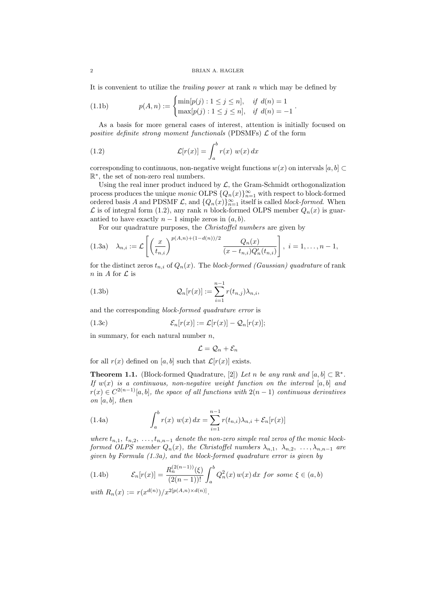#### 2 BRIAN A. HAGLER

It is convenient to utilize the *trailing power* at rank *n* which may be defined by

(1.1b) 
$$
p(A, n) := \begin{cases} \min[p(j) : 1 \leq j \leq n], & \text{if } d(n) = 1 \\ \max[p(j) : 1 \leq j \leq n], & \text{if } d(n) = -1 \end{cases}.
$$

As a basis for more general cases of interest, attention is initially focused on *positive definite strong moment functionals* (PDSMFs) *L* of the form

(1.2) 
$$
\mathcal{L}[r(x)] = \int_a^b r(x) w(x) dx
$$

corresponding to continuous, non-negative weight functions  $w(x)$  on intervals [ $a, b$ ] ⊂ R *∗* , the set of non-zero real numbers.

Using the real inner product induced by  $\mathcal{L}$ , the Gram-Schmidt orthogonalization process produces the unique *monic* OLPS  $\{Q_n(x)\}_{n=1}^{\infty}$  with respect to block-formed ordered basis *A* and PDSMF  $\mathcal{L}$ , and  $\{Q_n(x)\}_{n=1}^{\infty}$  itself is called *block-formed*. When  $\mathcal L$  is of integral form (1.2), any rank *n* block-formed OLPS member  $Q_n(x)$  is guarantied to have exactly  $n-1$  simple zeros in  $(a, b)$ .

For our quadrature purposes, the *Christoffel numbers* are given by

$$
(1.3a) \quad \lambda_{n,i} := \mathcal{L}\left[\left(\frac{x}{t_{n,i}}\right)^{p(A,n)+(1-d(n))/2} \frac{Q_n(x)}{(x-t_{n,i})Q'_n(t_{n,i})}\right], \ i=1,\ldots,n-1,
$$

for the distinct zeros  $t_{n,i}$  of  $Q_n(x)$ . The *block-formed (Gaussian) quadrature* of rank *n* in *A* for *L* is

(1.3b) 
$$
Q_n[r(x)] := \sum_{i=1}^{n-1} r(t_{n,j}) \lambda_{n,i},
$$

and the corresponding *block-formed quadrature error* is

(1.3c) 
$$
\mathcal{E}_n[r(x)] := \mathcal{L}[r(x)] - \mathcal{Q}_n[r(x)];
$$

in summary, for each natural number *n*,

$$
\mathcal{L}=\mathcal{Q}_n+\mathcal{E}_n
$$

for all  $r(x)$  defined on [a, b] such that  $\mathcal{L}[r(x)]$  exists.

**Theorem 1.1.** (Block-formed Quadrature, [2]) *Let n be any rank and*  $[a, b] \subset \mathbb{R}^*$ . *If w*(*x*) *is a continuous, non-negative weight function on the interval* [*a, b*] *and*  $r(x) \in C^{2(n-1)}[a, b]$ , the space of all functions with  $2(n-1)$  *continuous derivatives on* [*a, b*]*, then*

(1.4a) 
$$
\int_{a}^{b} r(x) w(x) dx = \sum_{i=1}^{n-1} r(t_{n,i}) \lambda_{n,i} + \mathcal{E}_{n}[r(x)]
$$

*where*  $t_{n,1}$ ,  $t_{n,2}$ ,  $\dots$ ,  $t_{n,n-1}$  *denote the non-zero simple real zeros of the monic blockformed OLPS member*  $Q_n(x)$ *, the Christoffel numbers*  $\lambda_{n,1}$ *,*  $\lambda_{n,2}$ *, ...,*  $\lambda_{n,n-1}$  *are given by Formula (1.3a), and the block-formed quadrature error is given by*

(1.4b) 
$$
\mathcal{E}_n[r(x)] = \frac{R_n^{(2(n-1))}(\xi)}{(2(n-1))!} \int_a^b Q_n^2(x) w(x) dx \text{ for some } \xi \in (a, b)
$$

*with*  $R_n(x) := r(x^{d(n)})/x^{2[p(A,n) \times d(n)]}$ .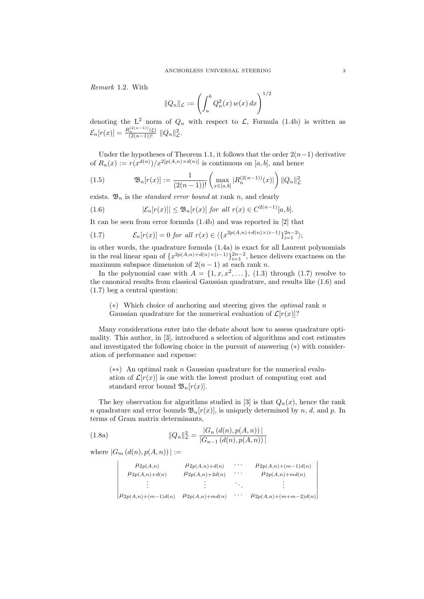*Remark* 1.2*.* With

$$
||Q_n||_{\mathcal{L}} := \left(\int_a^b Q_n^2(x) w(x) dx\right)^{1/2}
$$

denoting the  $L^2$  norm of  $Q_n$  with respect to  $\mathcal{L}$ , Formula (1.4b) is written as  $\mathcal{E}_n[r(x)] = \frac{R_n^{(2(n-1))}(\xi)}{(2(n-1))!} ||Q_n||_{\mathcal{L}}^2.$ 

Under the hypotheses of Theorem 1.1, it follows that the order 2(*n−*1) derivative of  $R_n(x) := r(x^{d(n)})/x^{2[p(A,n)\times d(n)]}$  is continuous on [a, b], and hence

(1.5) 
$$
\mathfrak{B}_{n}[r(x)] := \frac{1}{(2(n-1))!} \left( \max_{x \in [a,b]} |R_{n}^{(2(n-1))}(x)| \right) ||Q_{n}||_{\mathcal{L}}^{2}
$$

exists.  $\mathfrak{B}_n$  is the *standard error bound* at rank *n*, and clearly

$$
(1.6) \qquad |\mathcal{E}_n[r(x)]| \le \mathfrak{B}_n[r(x)] \text{ for all } r(x) \in C^{2(n-1)}[a,b].
$$

It can be seen from error formula (1.4b) and was reported in [2] that

(1.7) 
$$
\mathcal{E}_n[r(x)] = 0 \text{ for all } r(x) \in \langle \{x^{2p(A,n)+d(n)\times(i-1)}\}_{i=1}^{2n-2} \rangle;
$$

in other words, the quadrature formula (1.4a) is exact for all Laurent polynomials in the real linear span of  $\{x^{2p(A,n)+d(n)\times(i-1)}\}_{i=1}^{2n-2}$ , hence delivers exactness on the maximum subspace dimension of  $2(n-1)$  at each rank *n*.

In the polynomial case with  $A = \{1, x, x^2, \dots\}$ , (1.3) through (1.7) resolve to the canonical results from classical Gaussian quadrature, and results like (1.6) and (1.7) beg a central question:

(*∗*) Which choice of anchoring and steering gives the *optimal* rank *n* Gaussian quadrature for the numerical evaluation of  $\mathcal{L}[r(x)]$ ?

Many considerations enter into the debate about how to assess quadrature optimality. This author, in [3], introduced a selection of algorithms and cost estimates and investigated the following choice in the pursuit of answering (*∗*) with consideration of performance and expense:

(*∗∗*) An optimal rank *n* Gaussian quadrature for the numerical evaluation of  $\mathcal{L}[r(x)]$  is one with the lowest product of computing cost and standard error bound  $\mathfrak{B}_n[r(x)].$ 

The key observation for algorithms studied in [3] is that  $Q_n(x)$ , hence the rank *n* quadrature and error bounds  $\mathfrak{B}_n[r(x)]$ , is uniquely determined by *n*, *d*, and *p*. In terms of Gram matrix determinants,

(1.8a) 
$$
||Q_n||_{\mathcal{L}}^2 = \frac{|G_n(d(n), p(A, n))|}{|G_{n-1}(d(n), p(A, n))|}
$$

where  $|G_m(d(n), p(A, n))| :=$ 

| $\mu_{2p(A,n)}$<br>$\mu_{2p(A,n)+d(n)}$ | $\mu_{2p(A,n)+d(n)}$<br>$\mu_{2p(A,n)+2d(n)}$ | $\cdots$<br>$\cdots$ | $\mu_{2p(A,n)+(m-1)d(n)}$<br>$\mu_{2p(A,n)+md(n)}$ |
|-----------------------------------------|-----------------------------------------------|----------------------|----------------------------------------------------|
|                                         |                                               |                      |                                                    |
| $\mu_{2p(A,n)+(m-1)d(n)}$               | $\mu_{2p(A,n)+md(n)}$                         | $\cdots$             | $\mu_{2p(A,n)+(m+m-2)d(n)}$                        |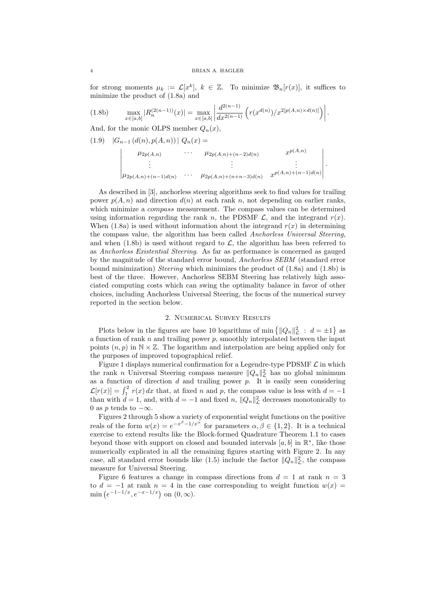for strong moments  $\mu_k := \mathcal{L}[x^k], k \in \mathbb{Z}$ . To minimize  $\mathfrak{B}_n[r(x)],$  it suffices to minimize the product of (1.8a) and

$$
(1.8b) \qquad \max_{x \in [a,b]} |R_n^{(2(n-1))}(x)| = \max_{x \in [a,b]} \left| \frac{d^{2(n-1)}}{dx^{2(n-1)}} \left( r(x^{d(n)}) / x^{2[p(A,n) \times d(n)]} \right) \right|.
$$

And, for the monic OLPS member  $Q_n(x)$ ,

$$
(1.9) |G_{n-1} (d(n), p(A, n))| Q_n(x) =
$$
  
\n
$$
\begin{vmatrix}\n\mu_{2p(A,n)} & \cdots & \mu_{2p(A,n)+(n-2)d(n)} & x^{p(A,n)} \\
\vdots & \vdots & \vdots \\
\mu_{2p(A,n)+(n-1)d(n)} & \cdots & \mu_{2p(A,n)+(n+n-3)d(n)} & x^{p(A,n)+(n-1)d(n)}\n\end{vmatrix}.
$$

As described in [3], anchorless steering algorithms seek to find values for trailing power  $p(A, n)$  and direction  $d(n)$  at each rank *n*, not depending on earlier ranks, which minimize a *compass* measurement. The compass values can be determined using information regarding the rank *n*, the PDSMF  $\mathcal{L}$ , and the integrand  $r(x)$ . When  $(1.8a)$  is used without information about the integrand  $r(x)$  in determining the compass value, the algorithm has been called *Anchorless Universal Steering*, and when  $(1.8b)$  is used without regard to  $\mathcal{L}$ , the algorithm has been referred to as *Anchorless Existential Steering*. As far as performance is concerned as gauged by the magnitude of the standard error bound, *Anchorless SEBM* (standard error bound minimization) *Steering* which minimizes the product of (1.8a) and (1.8b) is best of the three. However, Anchorless SEBM Steering has relatively high associated computing costs which can swing the optimality balance in favor of other choices, including Anchorless Universal Steering, the focus of the numerical survey reported in the section below.

# 2. Numerical Survey Results

Plots below in the figures are base 10 logarithms of min  $\{||Q_n||_{\mathcal{L}}^2 : d = \pm 1\}$  as a function of rank *n* and trailing power *p*, smoothly interpolated between the input points  $(n, p)$  in  $\mathbb{N} \times \mathbb{Z}$ . The logarithm and interpolation are being applied only for the purposes of improved topographical relief.

Figure 1 displays numerical confirmation for a Legendre-type PDSMF *L* in which the rank *n* Universal Steering compass measure  $||Q_n||_L^2$  has no global minimum as a function of direction  $d$  and trailing power  $p$ . It is easily seen considering  $\mathcal{L}[r(x)] = \int_1^2 r(x) dx$  that, at fixed *n* and *p*, the compass value is less with  $d = -1$ than with  $d = 1$ , and, with  $d = -1$  and fixed *n*,  $||Q_n||_{\mathcal{L}}^2$  decreases monotonically to 0 as *p* tends to *−∞*.

Figures 2 through 5 show a variety of exponential weight functions on the positive reals of the form  $w(x) = e^{-x^{\beta}-1/x^{\alpha}}$  for parameters  $\alpha, \beta \in \{1,2\}$ . It is a technical exercise to extend results like the Block-formed Quadrature Theorem 1.1 to cases beyond those with support on closed and bounded intervals  $[a, b]$  in  $\mathbb{R}^*$ , like those numerically explicated in all the remaining figures starting with Figure 2. In any case, all standard error bounds like (1.5) include the factor  $||Q_n||_{\mathcal{L}}^2$ , the compass measure for Universal Steering.

Figure 6 features a change in compass directions from  $d = 1$  at rank  $n = 3$ to  $d = -1$  at rank  $n = 4$  in the case corresponding to weight function  $w(x) =$  $\min(e^{-1-1/x}, e^{-x-1/x}) \text{ on } (0, \infty).$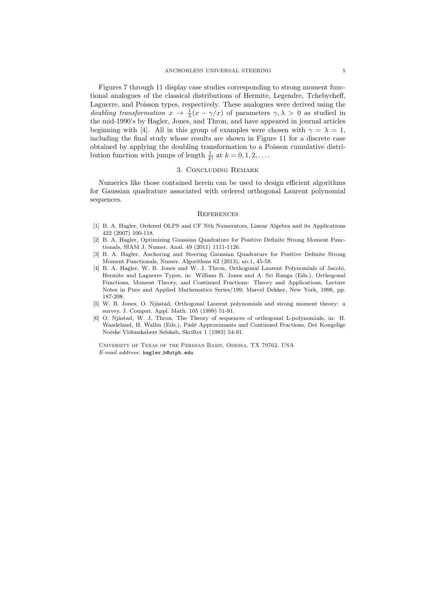Figures 7 through 11 display case studies corresponding to strong moment functional analogues of the classical distributions of Hermite, Legendre, Tchebycheff, Laguerre, and Poisson types, respectively. These analogues were derived using the *doubling transformation*  $x \to \frac{1}{\lambda}(x - \gamma/x)$  of parameters  $\gamma, \lambda > 0$  as studied in the mid-1990's by Hagler, Jones, and Thron, and have appeared in journal articles beginning with [4]. All in this group of examples were chosen with  $\gamma = \lambda = 1$ , including the final study whose results are shown in Figure 11 for a discrete case obtained by applying the doubling transformation to a Poisson cumulative distribution function with jumps of length  $\frac{1}{k!}$  at  $k = 0, 1, 2, \ldots$ .

# 3. Concluding Remark

Numerics like those contained herein can be used to design efficient algorithms for Gaussian quadrature associated with ordered orthogonal Laurent polynomial sequences.

### **REFERENCES**

- [1] B. A. Hagler, Ordered OLPS and CF Nth Numerators, Linear Algebra and its Applications 422 (2007) 100-118.
- [2] B. A. Hagler, Optimizing Gaussian Quadrature for Positive Definite Strong Moment Functionals, SIAM J. Numer. Anal. 49 (2011) 1111-1126.
- [3] B. A. Hagler, Anchoring and Steering Gaussian Quadrature for Positive Definite Strong Moment Functionals, Numer. Algorithms 62 (2013), no.1, 45-58.
- [4] B. A. Hagler, W. B. Jones and W. J. Thron, Orthogonal Laurent Polynomials of Jacobi, Hermite and Laguerre Types, in: William B. Jones and A. Sri Ranga (Eds.), Orthogonal Functions, Moment Theory, and Continued Fractions: Theory and Applications, Lecture Notes in Pure and Applied Mathematics Series/199, Marcel Dekker, New York, 1998, pp. 187-208.
- [5] W. B. Jones, O. Njåstad, Orthogonal Laurent polynomials and strong moment theory: a survey, J. Comput. Appl. Math. 105 (1999) 51-91.
- [6] O. Njåstad, W. J. Thron, The Theory of sequences of orthogonal L-polynomials, in: H. Waadeland, H. Wallin (Eds.), Pad´e Approximants and Continued Fractions, Det Kongelige Norske Videnskabers Selskab, Skrifter 1 (1983) 54-91.

University of Texas of the Permian Basin, Odessa, TX 79762, USA *E-mail address*: hagler b@utpb.edu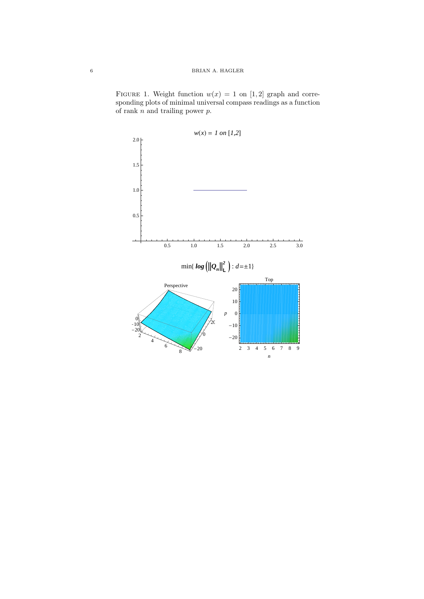FIGURE 1. Weight function  $w(x) = 1$  on [1, 2] graph and corresponding plots of minimal universal compass readings as a function of rank *n* and trailing power *p*.

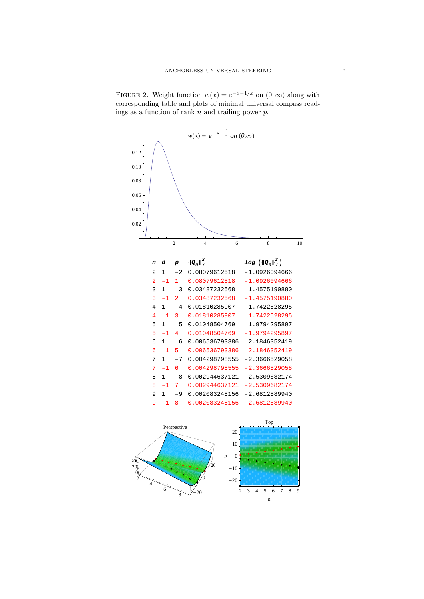



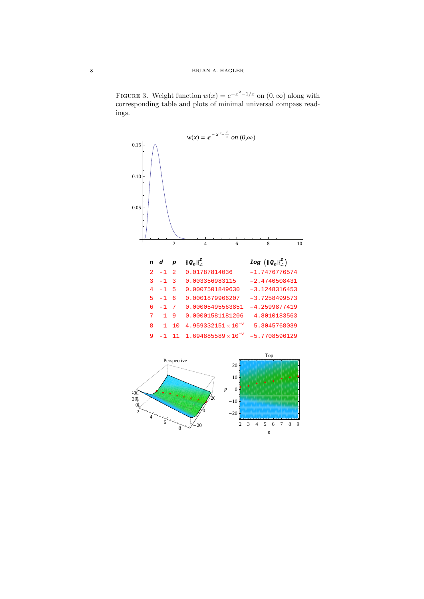FIGURE 3. Weight function  $w(x) = e^{-x^2 - 1/x}$  on  $(0, \infty)$  along with corresponding table and plots of minimal universal compass readings.

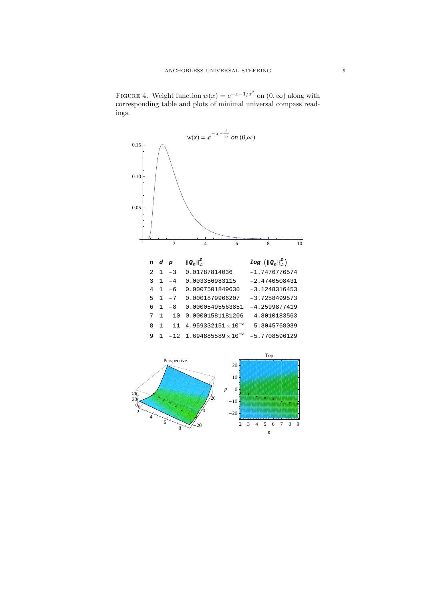FIGURE 4. Weight function  $w(x) = e^{-x-1/x^2}$  on  $(0, \infty)$  along with corresponding table and plots of minimal universal compass readings.



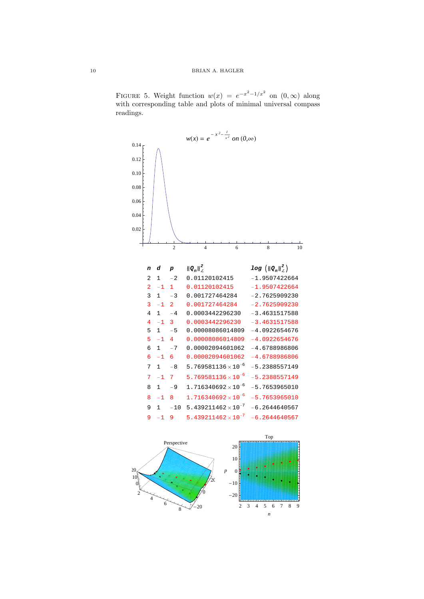FIGURE 5. Weight function  $w(x) = e^{-x^2-1/x^2}$  on  $(0, \infty)$  along with corresponding table and plots of minimal universal compass

2 4 6 8 10 0.02 0.04 0.06 0.08 0.10 0.12  $0.14<sub>0</sub>$  $w(x) = e^{-x^2 - \frac{1}{x}}$  $\sqrt{x^2}$  on  $(0, \infty)$  $p \tbinom{2}{L}$  $log$   $\left(\left\Vert Q_{n}\right\Vert _{\mathcal{L}}^{2}\right)$ 2 1 -2 0.01120102415 -1.9507422664 2 -1 1 0.01120102415 -1.9507422664 3 1 -3 0.001727464284 -2.7625909230 3 -1 2 0.001727464284 -2.7625909230 4 1 -4 0.0003442296230 -3.4631517588 4 -1 3 0.0003442296230 -3.4631517588 5 1 -5 0.00008086014809 -4.0922654676 5 -1 4 0.00008086014809 -4.0922654676 6 1 -7 0.00002094601062 -4.6788986806 6 -1 6 0.00002094601062 -4.6788986806 7 1  $-8$  5.769581136 $\times$ 10<sup>-6</sup> -5.2388557149 7 -1 7  $5.769581136 \times 10^{-6}$ -5.2388557149 8 1 -9 1.716340692 $\times$ 10<sup>-6</sup> -5.7653965010 8 -1 8 1.716340692 $\times$ 10<sup>-6</sup> -5.7653965010 9 1  $-10$  5.439211462 $\times$ 10<sup>-7</sup> -6.2644640567 9 -1 9 5.439211462 $\times 10^{-7}$ -6.2644640567





readings.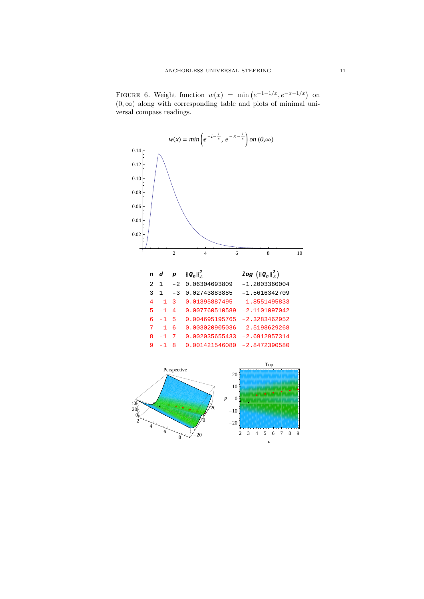FIGURE 6. Weight function  $w(x) = \min(e^{-1-1/x}, e^{-x-1/x})$  on  $(0, \infty)$  along with corresponding table and plots of minimal universal compass readings.



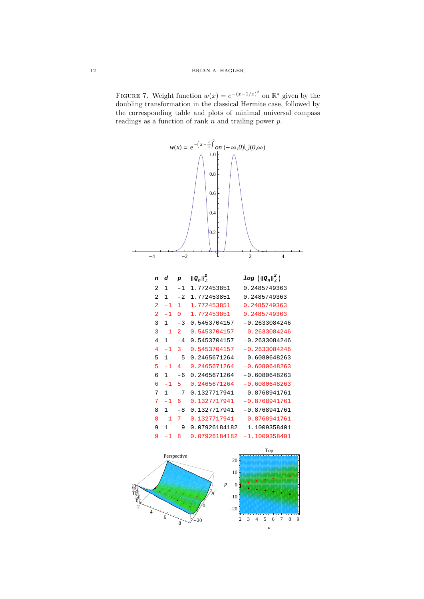FIGURE 7. Weight function  $w(x) = e^{-(x-1/x)^2}$  on  $\mathbb{R}^*$  given by the doubling transformation in the classical Hermite case, followed by the corresponding table and plots of minimal universal compass readings as a function of rank *n* and trailing power *p*.



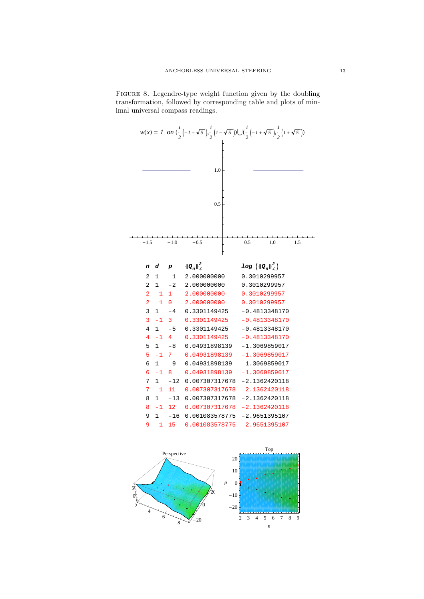FIGURE 8. Legendre-type weight function given by the doubling transformation, followed by corresponding table and plots of minimal universal compass readings.



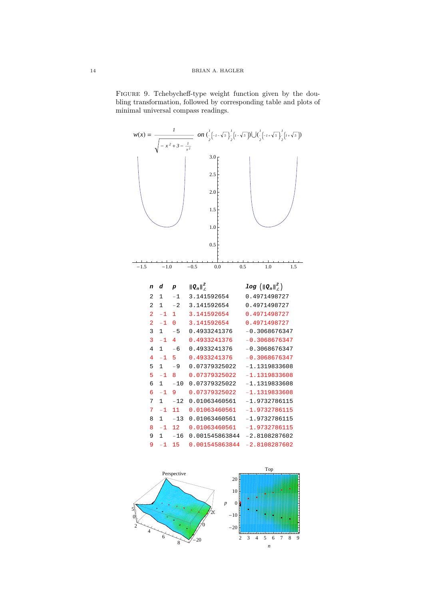FIGURE 9. Tchebycheff-type weight function given by the doubling transformation, followed by corresponding table and plots of minimal universal compass readings.



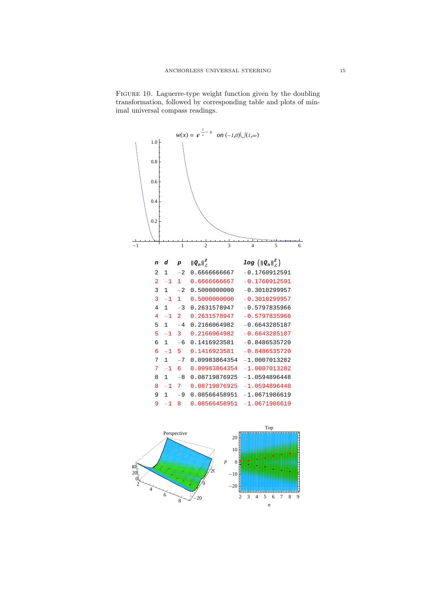FIGURE 10. Laguerre-type weight function given by the doubling transformation, followed by corresponding table and plots of minimal universal compass readings.